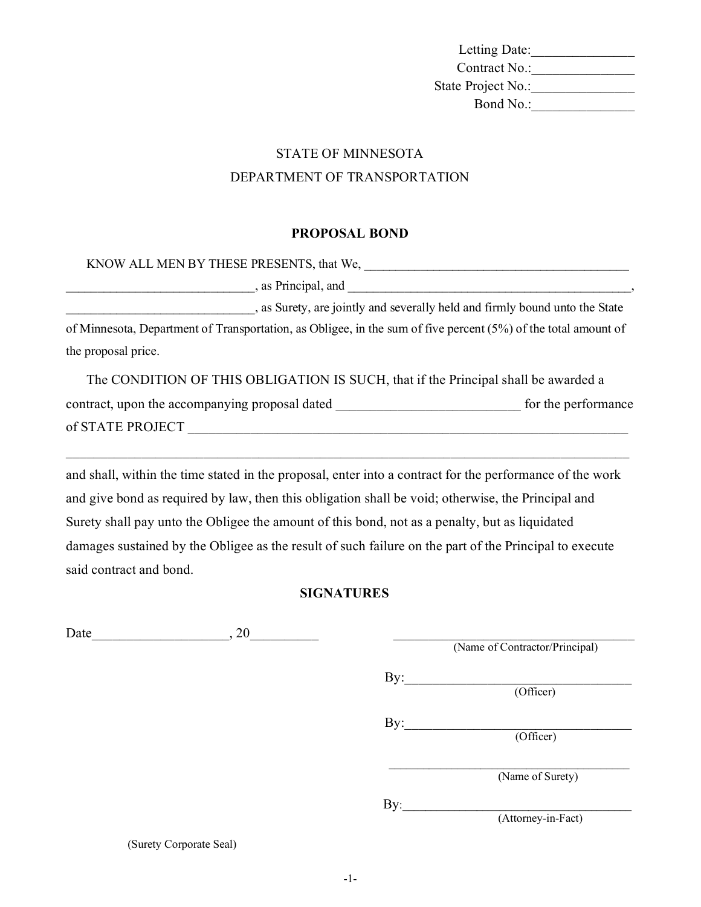Letting Date:\_\_\_\_\_\_\_\_\_\_\_\_\_\_\_ Contract No.:\_\_\_\_\_\_\_\_\_\_\_\_\_\_\_ State Project No.:\_\_\_\_\_\_\_\_\_\_\_\_\_\_\_ Bond No.:\_\_\_\_\_\_\_\_\_\_\_\_\_\_\_

# STATE OF MINNESOTA DEPARTMENT OF TRANSPORTATION

#### **PROPOSAL BOND**

| KNOW ALL MEN BY THESE PRESENTS, that We,                                                                       |                     |
|----------------------------------------------------------------------------------------------------------------|---------------------|
| , as Principal, and Theorem and Theorem 2014, as Principal, and Theorem 2014, as $\frac{1}{2}$                 |                     |
| , as Surety, are jointly and severally held and firmly bound unto the State                                    |                     |
| of Minnesota, Department of Transportation, as Obligee, in the sum of five percent (5%) of the total amount of |                     |
| the proposal price.                                                                                            |                     |
| The CONDITION OF THIS OBLIGATION IS SUCH, that if the Principal shall be awarded a                             |                     |
| contract, upon the accompanying proposal dated                                                                 | for the performance |

of STATE PROJECT \_\_\_\_\_\_\_\_\_\_\_\_\_\_\_\_\_\_\_\_\_\_\_\_\_\_\_\_\_\_\_\_\_\_\_\_\_\_\_\_\_\_\_\_\_\_\_\_\_\_\_\_\_\_\_\_\_\_\_\_\_\_\_\_

and shall, within the time stated in the proposal, enter into a contract for the performance of the work and give bond as required by law, then this obligation shall be void; otherwise, the Principal and Surety shall pay unto the Obligee the amount of this bond, not as a penalty, but as liquidated damages sustained by the Obligee as the result of such failure on the part of the Principal to execute said contract and bond.

\_\_\_\_\_\_\_\_\_\_\_\_\_\_\_\_\_\_\_\_\_\_\_\_\_\_\_\_\_\_\_\_\_\_\_\_\_\_\_\_\_\_\_\_\_\_\_\_\_\_\_\_\_\_\_\_\_\_\_\_\_\_\_\_\_\_\_\_\_\_\_\_\_\_\_\_\_\_\_\_\_\_

### **SIGNATURES**

| , 20 |                    |                                                                              |
|------|--------------------|------------------------------------------------------------------------------|
|      |                    |                                                                              |
|      | $\rm{By:}$         |                                                                              |
|      |                    |                                                                              |
|      | $\text{By:}$       |                                                                              |
|      |                    |                                                                              |
|      |                    |                                                                              |
|      |                    |                                                                              |
|      | By:                |                                                                              |
|      | (Attorney-in-Fact) |                                                                              |
|      |                    | (Name of Contractor/Principal)<br>(Officer)<br>(Officer)<br>(Name of Surety) |

(Surety Corporate Seal)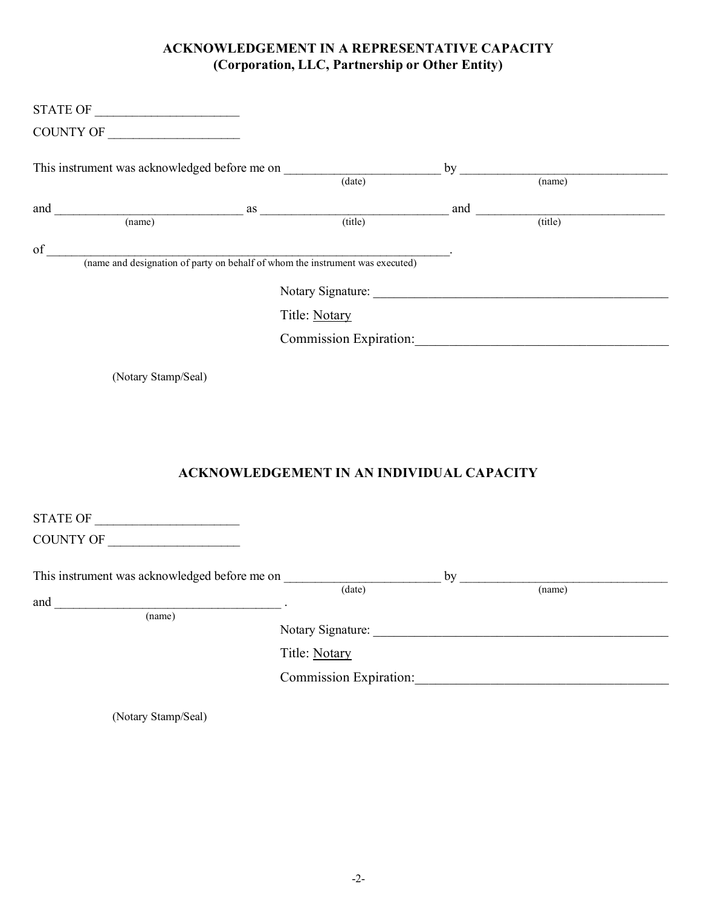## **ACKNOWLEDGEMENT IN A REPRESENTATIVE CAPACITY (Corporation, LLC, Partnership or Other Entity)**

|                                                                                                                                                                                                                                                                                                                                                                    |                                                  | $by$ (name)                                                                                   |
|--------------------------------------------------------------------------------------------------------------------------------------------------------------------------------------------------------------------------------------------------------------------------------------------------------------------------------------------------------------------|--------------------------------------------------|-----------------------------------------------------------------------------------------------|
|                                                                                                                                                                                                                                                                                                                                                                    |                                                  | $\frac{1}{2}$ and $\frac{1}{2}$ and $\frac{1}{2}$ and $\frac{1}{2}$ and $\frac{1}{2}$ (title) |
|                                                                                                                                                                                                                                                                                                                                                                    |                                                  |                                                                                               |
|                                                                                                                                                                                                                                                                                                                                                                    |                                                  |                                                                                               |
|                                                                                                                                                                                                                                                                                                                                                                    |                                                  |                                                                                               |
|                                                                                                                                                                                                                                                                                                                                                                    |                                                  |                                                                                               |
|                                                                                                                                                                                                                                                                                                                                                                    | Title: Notary                                    |                                                                                               |
|                                                                                                                                                                                                                                                                                                                                                                    |                                                  |                                                                                               |
| (Notary Stamp/Seal)                                                                                                                                                                                                                                                                                                                                                | <b>ACKNOWLEDGEMENT IN AN INDIVIDUAL CAPACITY</b> |                                                                                               |
|                                                                                                                                                                                                                                                                                                                                                                    |                                                  |                                                                                               |
| COUNTY OF                                                                                                                                                                                                                                                                                                                                                          |                                                  |                                                                                               |
| This instrument was acknowledged before me on                                                                                                                                                                                                                                                                                                                      |                                                  |                                                                                               |
|                                                                                                                                                                                                                                                                                                                                                                    | $\overline{(date)}$                              | (name)                                                                                        |
| $\begin{picture}(150,10) \put(0,0){\vector(1,0){100}} \put(15,0){\vector(1,0){100}} \put(15,0){\vector(1,0){100}} \put(15,0){\vector(1,0){100}} \put(15,0){\vector(1,0){100}} \put(15,0){\vector(1,0){100}} \put(15,0){\vector(1,0){100}} \put(15,0){\vector(1,0){100}} \put(15,0){\vector(1,0){100}} \put(15,0){\vector(1,0){100}} \put(15,0){\vector(1,0){100}}$ |                                                  |                                                                                               |
|                                                                                                                                                                                                                                                                                                                                                                    |                                                  |                                                                                               |
|                                                                                                                                                                                                                                                                                                                                                                    | Title: Notary                                    |                                                                                               |
|                                                                                                                                                                                                                                                                                                                                                                    |                                                  |                                                                                               |
| (Notary Stamp/Seal)                                                                                                                                                                                                                                                                                                                                                |                                                  |                                                                                               |